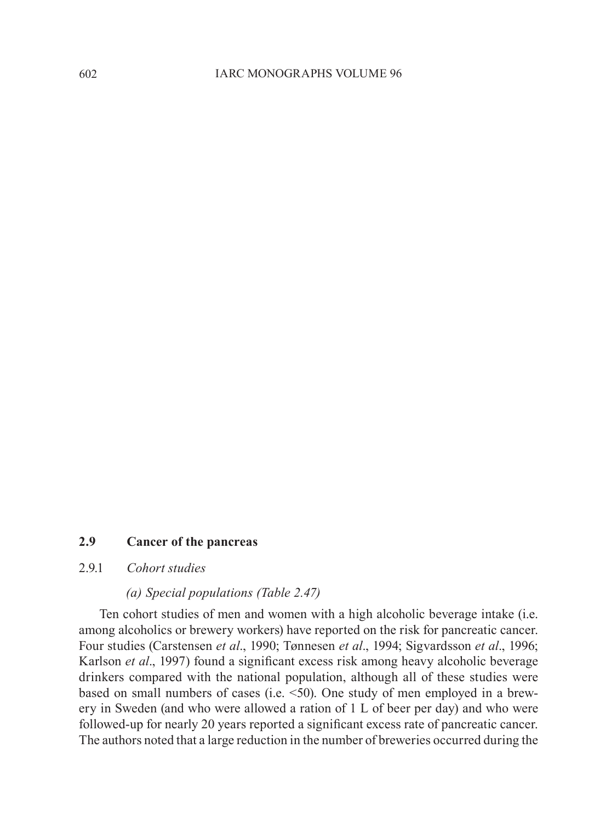#### **2.9 Cancer of the pancreas**

### 2.9.1 *Cohort studies*

#### *(a) Special populations (Table 2.47)*

Ten cohort studies of men and women with a high alcoholic beverage intake (i.e. among alcoholics or brewery workers) have reported on the risk for pancreatic cancer. Four studies (Carstensen *et al*., 1990; Tønnesen *et al*., 1994; Sigvardsson *et al*., 1996; Karlson *et al*., 1997) found a significant excess risk among heavy alcoholic beverage drinkers compared with the national population, although all of these studies were based on small numbers of cases (i.e. <50). One study of men employed in a brewery in Sweden (and who were allowed a ration of 1 L of beer per day) and who were followed-up for nearly 20 years reported a significant excess rate of pancreatic cancer. The authors noted that a large reduction in the number of breweries occurred during the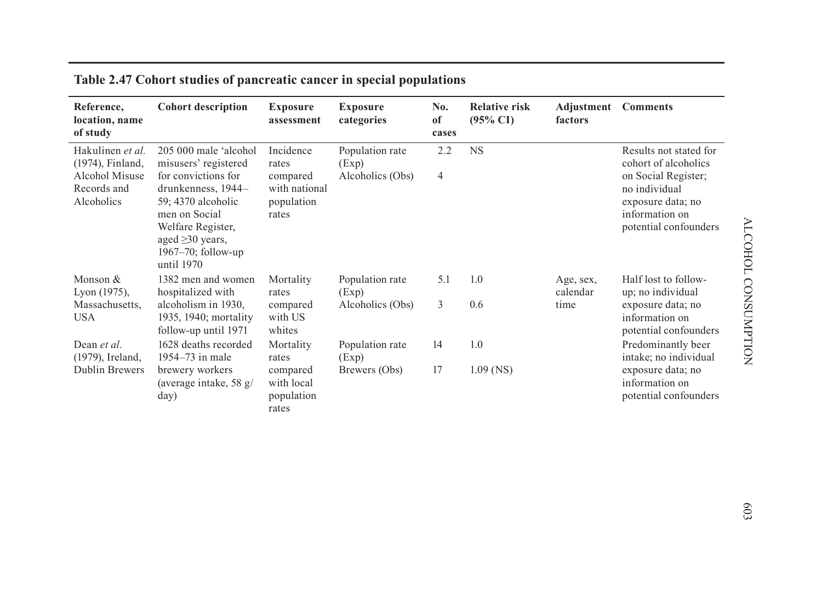| Reference,<br>location, name<br>of study                                                   | <b>Cohort description</b>                                                                                                                                                                                          | <b>Exposure</b><br>assessment                                          | <b>Exposure</b><br>categories                | No.<br>of<br>cases | <b>Relative risk</b><br>$(95\% \text{ CI})$ | Adjustment<br>factors | <b>Comments</b>                                                                                                                                        |
|--------------------------------------------------------------------------------------------|--------------------------------------------------------------------------------------------------------------------------------------------------------------------------------------------------------------------|------------------------------------------------------------------------|----------------------------------------------|--------------------|---------------------------------------------|-----------------------|--------------------------------------------------------------------------------------------------------------------------------------------------------|
| Hakulinen et al.<br>(1974), Finland,<br><b>Alcohol Misuse</b><br>Records and<br>Alcoholics | 205 000 male 'alcohol<br>misusers' registered<br>for convictions for<br>drunkenness, 1944-<br>59:4370 alcoholic<br>men on Social<br>Welfare Register,<br>aged $\geq$ 30 years,<br>1967-70; follow-up<br>until 1970 | Incidence<br>rates<br>compared<br>with national<br>population<br>rates | Population rate<br>(Exp)<br>Alcoholics (Obs) | 2.2<br>4           | <b>NS</b>                                   |                       | Results not stated for<br>cohort of alcoholics<br>on Social Register;<br>no individual<br>exposure data; no<br>information on<br>potential confounders |
| Monson &<br>Lyon (1975),                                                                   | 1382 men and women<br>hospitalized with                                                                                                                                                                            | Mortality<br>rates                                                     | Population rate<br>(Exp)                     | 5.1                | 1.0                                         | Age, sex,<br>calendar | Half lost to follow-<br>up; no individual                                                                                                              |
| Massachusetts,<br><b>USA</b>                                                               | alcoholism in 1930.<br>1935, 1940; mortality<br>follow-up until 1971                                                                                                                                               | compared<br>with US<br>whites                                          | Alcoholics (Obs)                             | 3                  | 0.6                                         | time                  | exposure data; no<br>information on<br>potential confounders                                                                                           |
| Dean et al.<br>(1979), Ireland,                                                            | 1628 deaths recorded<br>1954–73 in male                                                                                                                                                                            | Mortality<br>rates                                                     | Population rate<br>(Exp)                     | 14                 | 1.0                                         |                       | Predominantly beer<br>intake; no individual                                                                                                            |
| Dublin Brewers                                                                             | brewery workers<br>(average intake, 58 $g$ /<br>day)                                                                                                                                                               | compared<br>with local<br>population<br>rates                          | Brewers (Obs)                                | 17                 | $1.09$ (NS)                                 |                       | exposure data; no<br>information on<br>potential confounders                                                                                           |

## **Table 2.47 Cohort studies of pancreatic cancer in special populations**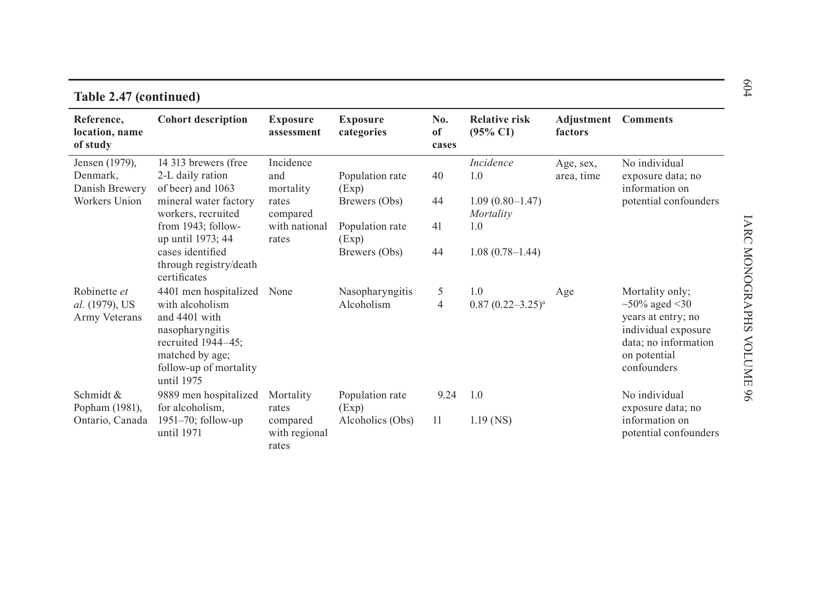| Reference,<br>location, name<br>of study        | <b>Cohort description</b>                                                                                                                                             | <b>Exposure</b><br>assessment                   | <b>Exposure</b><br>categories                | No.<br>of<br>cases | <b>Relative risk</b><br>$(95\% \text{ CI})$ | <b>Adjustment</b> Comments<br>factors |                                                                                                                                            |
|-------------------------------------------------|-----------------------------------------------------------------------------------------------------------------------------------------------------------------------|-------------------------------------------------|----------------------------------------------|--------------------|---------------------------------------------|---------------------------------------|--------------------------------------------------------------------------------------------------------------------------------------------|
| Jensen (1979),<br>Denmark,<br>Danish Brewery    | 14 313 brewers (free<br>2-L daily ration<br>of beer) and 1063                                                                                                         | Incidence<br>and<br>mortality                   | Population rate<br>(Exp)                     | 40                 | Incidence<br>1.0                            | Age, sex,<br>area, time               | No individual<br>exposure data; no<br>information on                                                                                       |
| Workers Union                                   | mineral water factory<br>workers, recruited                                                                                                                           | rates<br>compared                               | Brewers (Obs)                                | 44                 | $1.09(0.80 - 1.47)$<br>Mortality            |                                       | potential confounders                                                                                                                      |
|                                                 | from 1943; follow-<br>up until 1973; 44                                                                                                                               | with national<br>rates                          | Population rate<br>(Exp)                     | 41                 | 1.0                                         |                                       |                                                                                                                                            |
|                                                 | cases identified<br>through registry/death<br>certificates                                                                                                            |                                                 | Brewers (Obs)                                | 44                 | $1.08(0.78 - 1.44)$                         |                                       |                                                                                                                                            |
| Robinette et<br>al. (1979), US<br>Army Veterans | 4401 men hospitalized None<br>with alcoholism<br>and 4401 with<br>nasopharyngitis<br>recruited $1944-45$ ;<br>matched by age;<br>follow-up of mortality<br>until 1975 |                                                 | Nasopharyngitis<br>Alcoholism                | 5<br>4             | 1.0<br>$0.87(0.22 - 3.25)^a$                | Age                                   | Mortality only;<br>$~10\%$ aged $~130$<br>years at entry; no<br>individual exposure<br>data; no information<br>on potential<br>confounders |
| Schmidt &<br>Popham (1981),<br>Ontario, Canada  | 9889 men hospitalized<br>for alcoholism,<br>1951-70; follow-up<br>until 1971                                                                                          | Mortality<br>rates<br>compared<br>with regional | Population rate<br>(Exp)<br>Alcoholics (Obs) | 9.24<br>11         | 1.0<br>$1.19$ (NS)                          |                                       | No individual<br>exposure data; no<br>information on<br>potential confounders                                                              |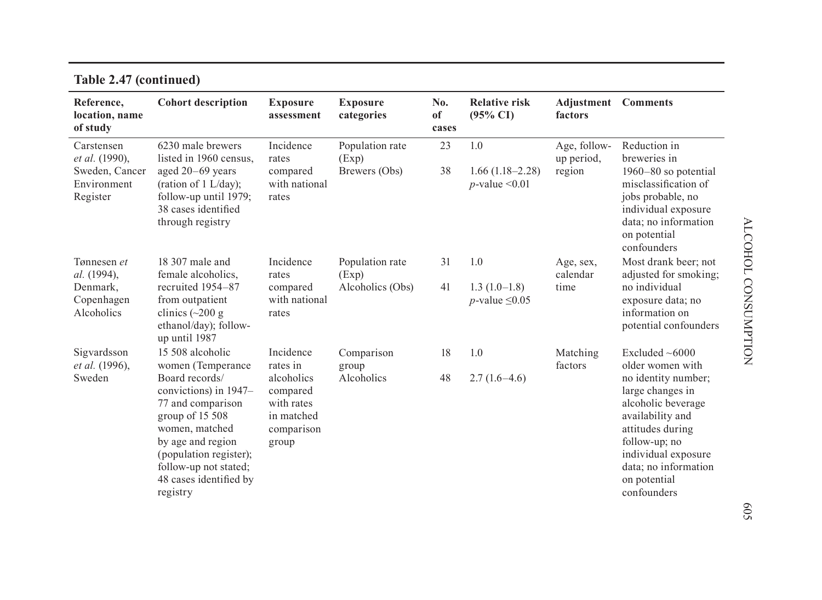| Reference,<br>location, name<br>of study  | <b>Cohort description</b>                                                                                                                                                                                       | <b>Exposure</b><br>assessment                                             | <b>Exposure</b><br>categories | No.<br>of<br>cases | <b>Relative risk</b><br>$(95\% \text{ CI})$   | Adjustment<br>factors      | <b>Comments</b>                                                                                                                                                                                      |
|-------------------------------------------|-----------------------------------------------------------------------------------------------------------------------------------------------------------------------------------------------------------------|---------------------------------------------------------------------------|-------------------------------|--------------------|-----------------------------------------------|----------------------------|------------------------------------------------------------------------------------------------------------------------------------------------------------------------------------------------------|
| Carstensen<br>et al. (1990),              | 6230 male brewers<br>listed in 1960 census.                                                                                                                                                                     | Incidence<br>rates                                                        | Population rate<br>(Exp)      | 23                 | 1.0                                           | Age, follow-<br>up period, | Reduction in<br>breweries in                                                                                                                                                                         |
| Sweden, Cancer<br>Environment<br>Register | aged 20-69 years<br>(ration of $1$ L/day);<br>follow-up until 1979;<br>38 cases identified<br>through registry                                                                                                  | compared<br>with national<br>rates                                        | Brewers (Obs)                 | 38                 | $1.66(1.18-2.28)$<br>$p$ -value < 0.01        | region                     | 1960–80 so potential<br>misclassification of<br>jobs probable, no<br>individual exposure<br>data; no information<br>on potential<br>confounders                                                      |
| Tønnesen et<br>al. (1994),                | 18 307 male and<br>female alcoholics,                                                                                                                                                                           | Incidence<br>rates                                                        | Population rate<br>(Exp)      | 31                 | 1.0                                           | Age, sex,<br>calendar      | Most drank beer: not<br>adjusted for smoking;                                                                                                                                                        |
| Denmark,<br>Copenhagen<br>Alcoholics      | recruited 1954–87<br>from outpatient<br>clinics $(\sim 200 \text{ g})$<br>ethanol/day); follow-<br>up until 1987                                                                                                | compared<br>with national<br>rates                                        | Alcoholics (Obs)              | 41                 | $1.3(1.0-1.8)$<br><i>p</i> -value $\leq$ 0.05 | time                       | no individual<br>exposure data; no<br>information on<br>potential confounders                                                                                                                        |
| Sigvardsson<br>et al. (1996),             | 15 508 alcoholic<br>women (Temperance                                                                                                                                                                           | Incidence<br>rates in                                                     | Comparison<br>group           | 18                 | 1.0                                           | Matching<br>factors        | Excluded $~6000$<br>older women with                                                                                                                                                                 |
| Sweden                                    | Board records/<br>convictions) in 1947–<br>77 and comparison<br>group of 15 508<br>women, matched<br>by age and region<br>(population register);<br>follow-up not stated;<br>48 cases identified by<br>registry | alcoholics<br>compared<br>with rates<br>in matched<br>comparison<br>group | Alcoholics                    | 48                 | $2.7(1.6-4.6)$                                |                            | no identity number;<br>large changes in<br>alcoholic beverage<br>availability and<br>attitudes during<br>follow-up; no<br>individual exposure<br>data; no information<br>on potential<br>confounders |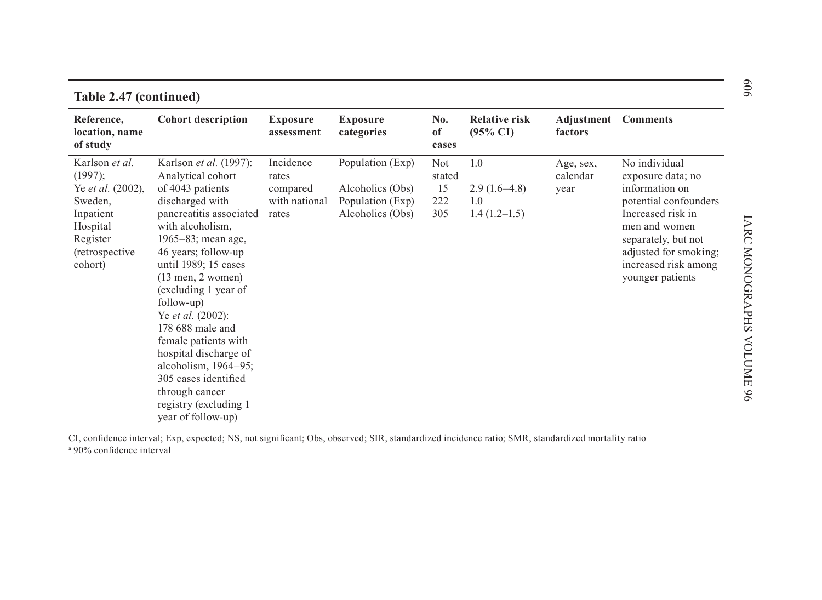|                                                                                                                                     | $\breve{\sigma}$<br>Table 2.47 (continued)                                                                                                                                                                                                                                                                                                                                                                                                                                                       |                                                          |                                                                              |                                          |                                                |                               |                                                                                                                                                                                                                 |  |  |  |
|-------------------------------------------------------------------------------------------------------------------------------------|--------------------------------------------------------------------------------------------------------------------------------------------------------------------------------------------------------------------------------------------------------------------------------------------------------------------------------------------------------------------------------------------------------------------------------------------------------------------------------------------------|----------------------------------------------------------|------------------------------------------------------------------------------|------------------------------------------|------------------------------------------------|-------------------------------|-----------------------------------------------------------------------------------------------------------------------------------------------------------------------------------------------------------------|--|--|--|
| Reference,<br>location, name<br>of study                                                                                            | <b>Cohort description</b>                                                                                                                                                                                                                                                                                                                                                                                                                                                                        | <b>Exposure</b><br>assessment                            | <b>Exposure</b><br>categories                                                | No.<br>of<br>cases                       | <b>Relative risk</b><br>$(95\% \text{ CI})$    | Adjustment<br>factors         | <b>Comments</b>                                                                                                                                                                                                 |  |  |  |
| Karlson et al.<br>(1997);<br>Ye et al. (2002),<br>Sweden,<br>Inpatient<br>Hospital<br>Register<br><i>(retrospective)</i><br>cohort) | Karlson <i>et al.</i> (1997):<br>Analytical cohort<br>of 4043 patients<br>discharged with<br>pancreatitis associated<br>with alcoholism.<br>1965–83; mean age,<br>46 years; follow-up<br>until 1989; 15 cases<br>$(13$ men, 2 women)<br>(excluding 1 year of<br>follow-up)<br>Ye <i>et al.</i> (2002):<br>178 688 male and<br>female patients with<br>hospital discharge of<br>alcoholism, $1964-95$ ;<br>305 cases identified<br>through cancer<br>registry (excluding 1)<br>year of follow-up) | Incidence<br>rates<br>compared<br>with national<br>rates | Population (Exp)<br>Alcoholics (Obs)<br>Population (Exp)<br>Alcoholics (Obs) | <b>Not</b><br>stated<br>15<br>222<br>305 | 1.0<br>$2.9(1.6-4.8)$<br>1.0<br>$1.4(1.2-1.5)$ | Age, sex,<br>calendar<br>year | No individual<br>exposure data; no<br>information on<br>potential confounders<br>Increased risk in<br>men and women<br>separately, but not<br>adjusted for smoking;<br>increased risk among<br>younger patients |  |  |  |

CI, confidence interval; Exp, expected; NS, not significant; Obs, observed; SIR, standardized incidence ratio; SMR, standardized mortality ratio a 90% confidence interval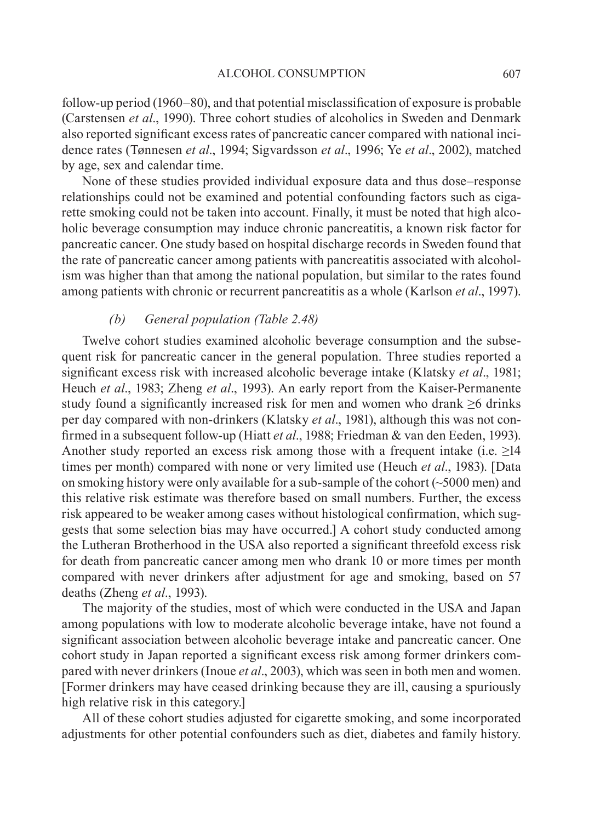follow-up period (1960–80), and that potential misclassification of exposure is probable (Carstensen *et al*., 1990). Three cohort studies of alcoholics in Sweden and Denmark also reported significant excess rates of pancreatic cancer compared with national incidence rates (Tønnesen *et al*., 1994; Sigvardsson *et al*., 1996; Ye *et al*., 2002), matched by age, sex and calendar time.

None of these studies provided individual exposure data and thus dose–response relationships could not be examined and potential confounding factors such as cigarette smoking could not be taken into account. Finally, it must be noted that high alcoholic beverage consumption may induce chronic pancreatitis, a known risk factor for pancreatic cancer. One study based on hospital discharge records in Sweden found that the rate of pancreatic cancer among patients with pancreatitis associated with alcoholism was higher than that among the national population, but similar to the rates found among patients with chronic or recurrent pancreatitis as a whole (Karlson *et al*., 1997).

### *(b) General population (Table 2.48)*

Twelve cohort studies examined alcoholic beverage consumption and the subsequent risk for pancreatic cancer in the general population. Three studies reported a significant excess risk with increased alcoholic beverage intake (Klatsky *et al*., 1981; Heuch *et al*., 1983; Zheng *et al*., 1993). An early report from the Kaiser-Permanente study found a significantly increased risk for men and women who drank ≥6 drinks per day compared with non-drinkers (Klatsky *et al*., 1981), although this was not confirmed in a subsequent follow-up (Hiatt *et al*., 1988; Friedman & van den Eeden, 1993). Another study reported an excess risk among those with a frequent intake (i.e.  $\geq$ 14 times per month) compared with none or very limited use (Heuch *et al*., 1983). [Data on smoking history were only available for a sub-sample of the cohort (~5000 men) and this relative risk estimate was therefore based on small numbers. Further, the excess risk appeared to be weaker among cases without histological confirmation, which suggests that some selection bias may have occurred.] A cohort study conducted among the Lutheran Brotherhood in the USA also reported a significant threefold excess risk for death from pancreatic cancer among men who drank 10 or more times per month compared with never drinkers after adjustment for age and smoking, based on 57 deaths (Zheng *et al*., 1993).

The majority of the studies, most of which were conducted in the USA and Japan among populations with low to moderate alcoholic beverage intake, have not found a significant association between alcoholic beverage intake and pancreatic cancer. One cohort study in Japan reported a significant excess risk among former drinkers compared with never drinkers (Inoue *et al*., 2003), which was seen in both men and women. [Former drinkers may have ceased drinking because they are ill, causing a spuriously high relative risk in this category.]

All of these cohort studies adjusted for cigarette smoking, and some incorporated adjustments for other potential confounders such as diet, diabetes and family history.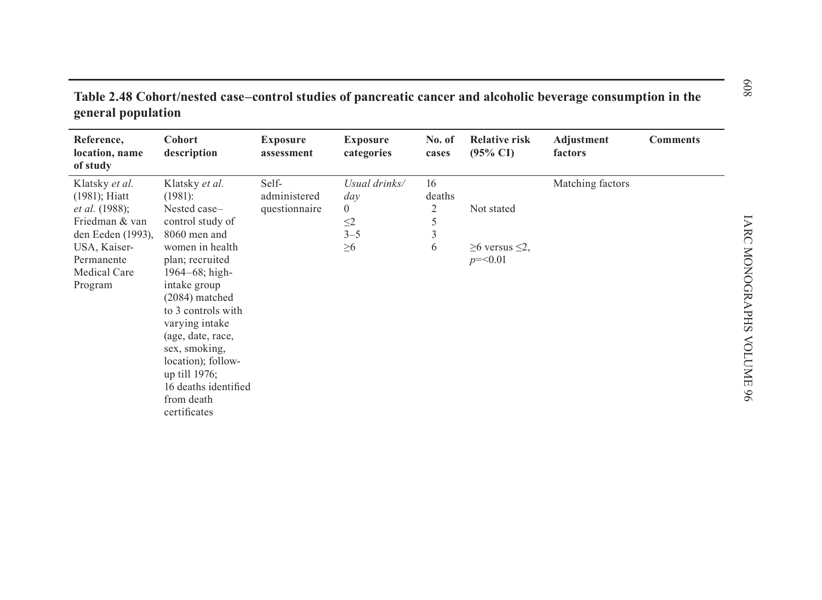| Reference,<br>location, name<br>of study | Cohort<br>description | <b>Exposure</b><br>assessment | <b>Exposure</b><br>categories | No. of<br>cases | <b>Relative risk</b><br>$(95\% \text{ CI})$ | Adjustment<br>factors | <b>Comments</b> |
|------------------------------------------|-----------------------|-------------------------------|-------------------------------|-----------------|---------------------------------------------|-----------------------|-----------------|
| Klatsky et al.                           | Klatsky et al.        | Self-                         | Usual drinks/                 | 16              |                                             | Matching factors      |                 |
| $(1981)$ ; Hiatt                         | (1981):               | administered                  | day                           | deaths          |                                             |                       |                 |
| <i>et al.</i> (1988);                    | Nested case-          | questionnaire                 | $\overline{0}$                | 2               | Not stated                                  |                       |                 |
| Friedman & van                           | control study of      |                               | $\leq$ 2                      | 5               |                                             |                       |                 |
| den Eeden (1993),                        | 8060 men and          |                               | $3 - 5$                       | 3               |                                             |                       |                 |
| USA, Kaiser-                             | women in health       |                               | $\geq 6$                      | 6               | $≥6$ versus $≤2$ ,                          |                       |                 |
| Permanente                               | plan; recruited       |                               |                               |                 | $p = 0.01$                                  |                       |                 |
| Medical Care                             | $1964 - 68$ ; high-   |                               |                               |                 |                                             |                       |                 |
| Program                                  | intake group          |                               |                               |                 |                                             |                       |                 |
|                                          | $(2084)$ matched      |                               |                               |                 |                                             |                       |                 |
|                                          | to 3 controls with    |                               |                               |                 |                                             |                       |                 |
|                                          | varying intake        |                               |                               |                 |                                             |                       |                 |
|                                          | (age, date, race,     |                               |                               |                 |                                             |                       |                 |
|                                          | sex, smoking,         |                               |                               |                 |                                             |                       |                 |
|                                          | location); follow-    |                               |                               |                 |                                             |                       |                 |
|                                          | up till 1976;         |                               |                               |                 |                                             |                       |                 |
|                                          | 16 deaths identified  |                               |                               |                 |                                             |                       |                 |
|                                          | from death            |                               |                               |                 |                                             |                       |                 |
|                                          | certificates          |                               |                               |                 |                                             |                       |                 |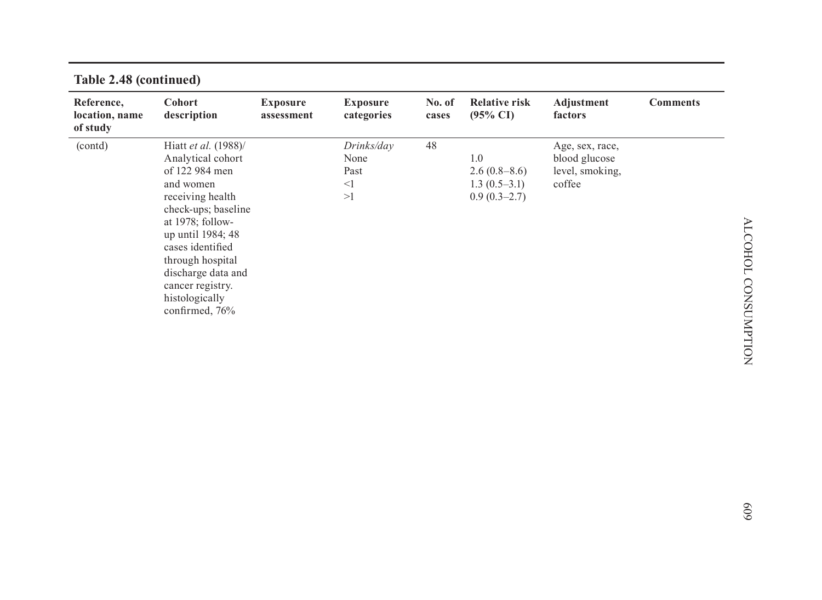| Reference,<br>location, name<br>of study | Cohort<br>description                                                                                                                                                                                   | <b>Exposure</b><br>assessment | <b>Exposure</b><br>categories                | No. of<br>cases | <b>Relative risk</b><br>$(95\% \text{ CI})$             | Adjustment<br>factors                                         | <b>Comments</b> |
|------------------------------------------|---------------------------------------------------------------------------------------------------------------------------------------------------------------------------------------------------------|-------------------------------|----------------------------------------------|-----------------|---------------------------------------------------------|---------------------------------------------------------------|-----------------|
| (contd)                                  | Hiatt et al. (1988)/<br>Analytical cohort<br>of 122 984 men<br>and women<br>receiving health<br>check-ups; baseline<br>at $1978$ ; follow-<br>up until 1984; 48<br>cases identified<br>through hospital |                               | Drinks/day<br>None<br>Past<br>$\leq$ 1<br>>1 | 48              | 1.0<br>2.6(0.8–8.6)<br>$1.3(0.5-3.1)$<br>$0.9(0.3-2.7)$ | Age, sex, race,<br>blood glucose<br>level, smoking,<br>coffee |                 |
|                                          | discharge data and<br>cancer registry.<br>histologically<br>confirmed, 76%                                                                                                                              |                               |                                              |                 |                                                         |                                                               |                 |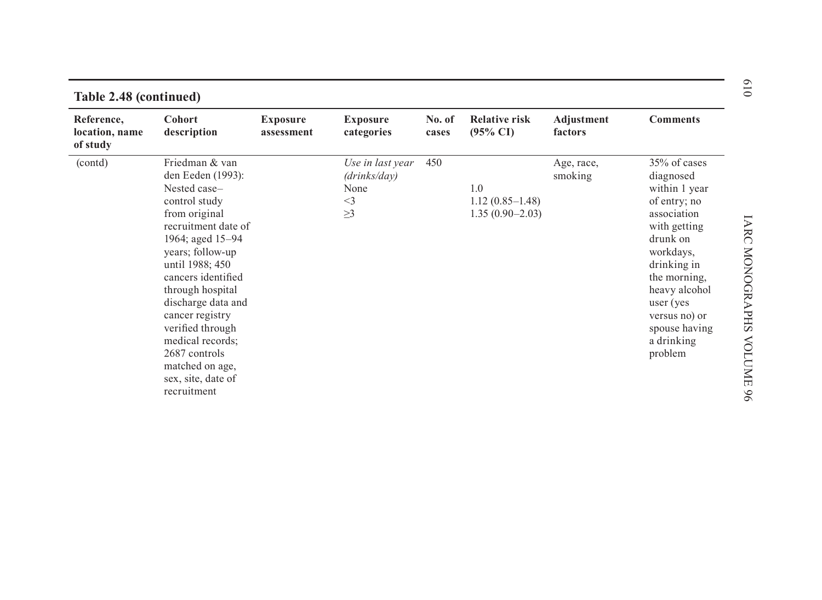| Reference,<br>location, name<br>of study | <b>Cohort</b><br>description                                                                                                                                                                                                                                                                                                                                                | <b>Exposure</b><br>assessment | <b>Exposure</b><br>categories                                 | No. of<br>cases | <b>Relative risk</b><br>$(95\% \text{ CI})$     | Adjustment<br>factors | <b>Comments</b>                                                                                                                                                                                                                             |
|------------------------------------------|-----------------------------------------------------------------------------------------------------------------------------------------------------------------------------------------------------------------------------------------------------------------------------------------------------------------------------------------------------------------------------|-------------------------------|---------------------------------------------------------------|-----------------|-------------------------------------------------|-----------------------|---------------------------------------------------------------------------------------------------------------------------------------------------------------------------------------------------------------------------------------------|
| (contd)                                  | Friedman & van<br>den Eeden (1993):<br>Nested case-<br>control study<br>from original<br>recruitment date of<br>1964; aged 15-94<br>years; follow-up<br>until 1988; 450<br>cancers identified<br>through hospital<br>discharge data and<br>cancer registry<br>verified through<br>medical records;<br>2687 controls<br>matched on age,<br>sex, site, date of<br>recruitment |                               | Use in last year<br>(drinks/day)<br>None<br>$<$ 3<br>$\geq$ 3 | 450             | 1.0<br>$1.12(0.85-1.48)$<br>$1.35(0.90 - 2.03)$ | Age, race,<br>smoking | 35% of cases<br>diagnosed<br>within 1 year<br>of entry; no<br>association<br>with getting<br>drunk on<br>workdays,<br>drinking in<br>the morning.<br>heavy alcohol<br>user (yes)<br>versus no) or<br>spouse having<br>a drinking<br>problem |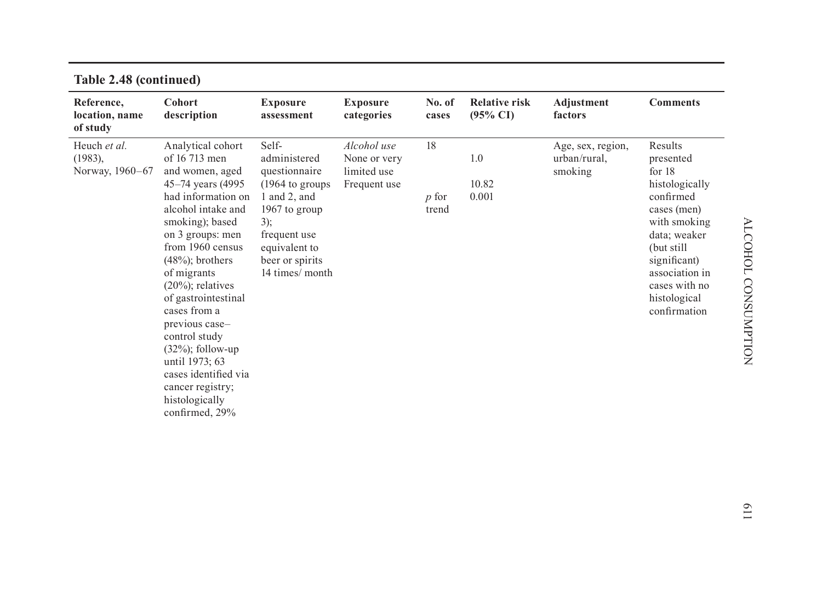| Reference,<br>location, name<br>of study   | Cohort<br>description                                                                                                                                                                                                                                                                                                                                                                                                                                | <b>Exposure</b><br>assessment                                                                                                                                                              | <b>Exposure</b><br>categories                              | No. of<br>cases             | <b>Relative risk</b><br>$(95\% \text{ CI})$ | Adjustment<br>factors                        | <b>Comments</b>                                                                                                                                                                                                  |
|--------------------------------------------|------------------------------------------------------------------------------------------------------------------------------------------------------------------------------------------------------------------------------------------------------------------------------------------------------------------------------------------------------------------------------------------------------------------------------------------------------|--------------------------------------------------------------------------------------------------------------------------------------------------------------------------------------------|------------------------------------------------------------|-----------------------------|---------------------------------------------|----------------------------------------------|------------------------------------------------------------------------------------------------------------------------------------------------------------------------------------------------------------------|
| Heuch et al.<br>(1983),<br>Norway, 1960-67 | Analytical cohort<br>of 16 713 men<br>and women, aged<br>45-74 years (4995)<br>had information on<br>alcohol intake and<br>smoking); based<br>on 3 groups: men<br>from 1960 census<br>$(48\%)$ ; brothers<br>of migrants<br>$(20\%)$ ; relatives<br>of gastrointestinal<br>cases from a<br>previous case-<br>control study<br>$(32\%)$ ; follow-up<br>until 1973; 63<br>cases identified via<br>cancer registry;<br>histologically<br>confirmed, 29% | Self-<br>administered<br>questionnaire<br>$(1964 \text{ to groups})$<br>$1$ and $2$ , and<br>1967 to group<br>$3)$ ;<br>frequent use<br>equivalent to<br>beer or spirits<br>14 times/month | Alcohol use<br>None or very<br>limited use<br>Frequent use | 18<br><i>p</i> for<br>trend | 1.0<br>10.82<br>0.001                       | Age, sex, region,<br>urban/rural.<br>smoking | Results<br>presented<br>for $18$<br>histologically<br>confirmed<br>cases (men)<br>with smoking<br>data; weaker<br>(but still)<br>significant)<br>association in<br>cases with no<br>histological<br>confirmation |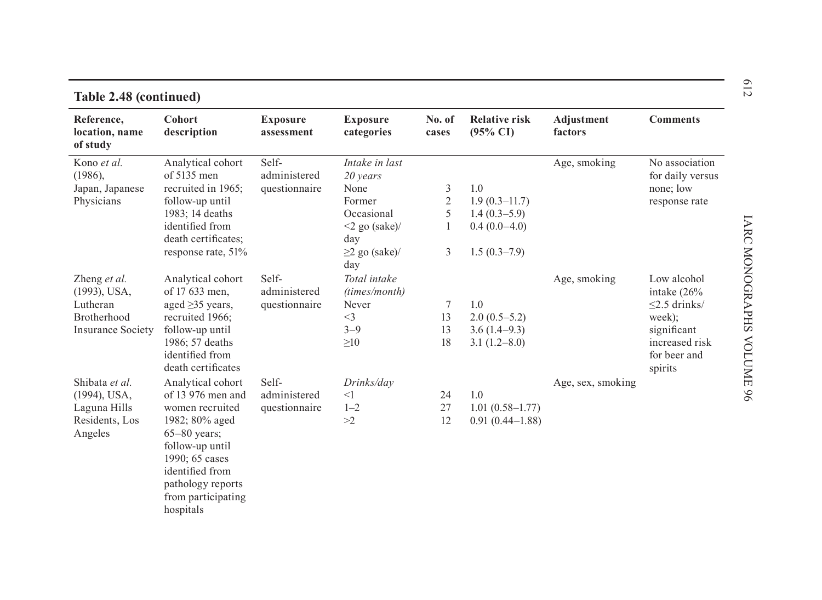| Table 2.48 (continued)                   |                                                                         |                               |                                   |                 |                                             |                       |                                           |
|------------------------------------------|-------------------------------------------------------------------------|-------------------------------|-----------------------------------|-----------------|---------------------------------------------|-----------------------|-------------------------------------------|
| Reference,<br>location, name<br>of study | <b>Cohort</b><br>description                                            | <b>Exposure</b><br>assessment | <b>Exposure</b><br>categories     | No. of<br>cases | <b>Relative risk</b><br>$(95\% \text{ CI})$ | Adjustment<br>factors | <b>Comments</b>                           |
| Kono et al.                              | Analytical cohort                                                       | Self-                         | Intake in last                    |                 |                                             | Age, smoking          | No association                            |
| $(1986)$ ,                               | of $5135$ men                                                           | administered                  | 20 years                          |                 |                                             |                       | for daily versus                          |
| Japan, Japanese                          | recruited in 1965;                                                      | questionnaire                 | None                              | 3               | 1.0                                         |                       | none; low                                 |
| Physicians                               | follow-up until                                                         |                               | Former                            | $\mathbf{2}$    | $1.9(0.3-11.7)$                             |                       | response rate                             |
|                                          | 1983; 14 deaths                                                         |                               | Occasional                        | 5               | $1.4(0.3-5.9)$                              |                       |                                           |
|                                          | identified from                                                         |                               | $\leq$ 2 go (sake)/               | 1               | $0.4(0.0-4.0)$                              |                       |                                           |
|                                          | death certificates;<br>response rate, 51%                               |                               | day<br>$\geq$ 2 go (sake)/<br>day | 3               | $1.5(0.3-7.9)$                              |                       |                                           |
| Zheng et al.<br>(1993), USA,             | Analytical cohort<br>of 17 633 men.                                     | Self-<br>administered         | Total intake<br>(times/month)     |                 |                                             | Age, smoking          | Low alcohol<br>intake $(26\%$             |
| Lutheran                                 | aged $\geq$ 35 years,                                                   | questionnaire                 | Never                             | 7               | 1.0                                         |                       | $\leq$ 2.5 drinks/                        |
| Brotherhood                              | recruited 1966;                                                         |                               | $<$ 3                             | 13              | $2.0(0.5-5.2)$                              |                       | week);                                    |
| <b>Insurance Society</b>                 | follow-up until                                                         |                               | $3 - 9$                           | 13              | $3.6(1.4-9.3)$                              |                       | significant                               |
|                                          | 1986; 57 deaths<br>identified from<br>death certificates                |                               | $\geq 10$                         | 18              | $3.1(1.2-8.0)$                              |                       | increased risk<br>for beer and<br>spirits |
| Shibata et al.                           | Analytical cohort                                                       | Self-                         | Drinks/day                        |                 |                                             | Age, sex, smoking     |                                           |
| (1994), USA,                             | of 13 976 men and                                                       | administered                  | $<$ 1                             | 24              | 1.0                                         |                       |                                           |
| Laguna Hills                             | women recruited                                                         | questionnaire                 | $1 - 2$                           | 27              | $1.01(0.58 - 1.77)$                         |                       |                                           |
| Residents, Los<br>Angeles                | 1982; 80% aged<br>$65 - 80$ years;<br>follow-up until<br>1990; 65 cases |                               | >2                                | 12              | $0.91(0.44 - 1.88)$                         |                       |                                           |
|                                          | identified from<br>pathology reports<br>from participating<br>hospitals |                               |                                   |                 |                                             |                       |                                           |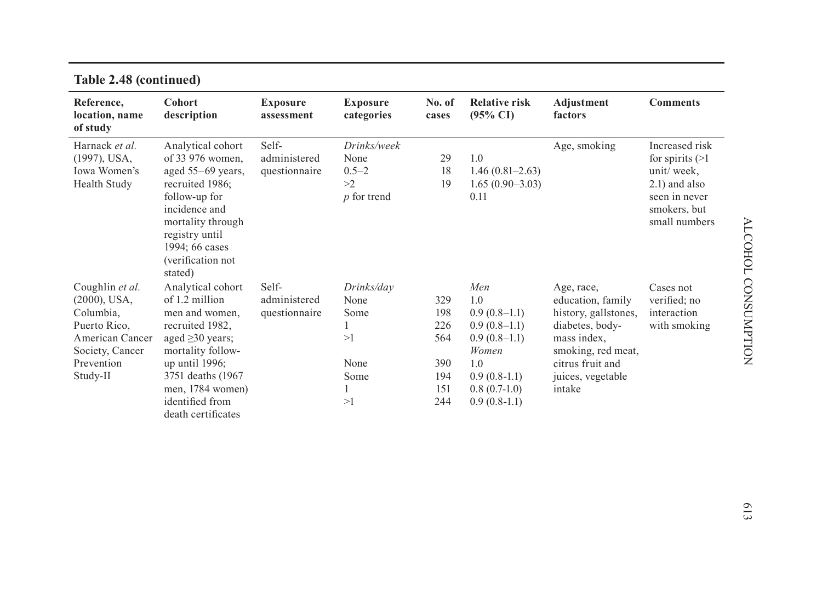| $1000 - 1000$                                                                                                                   |                                                                                                                                                                                                                                |                                        |                                                         |                                                      |                                                                                                                                        |                                                                                                                                                                    |                                                                                                                         |
|---------------------------------------------------------------------------------------------------------------------------------|--------------------------------------------------------------------------------------------------------------------------------------------------------------------------------------------------------------------------------|----------------------------------------|---------------------------------------------------------|------------------------------------------------------|----------------------------------------------------------------------------------------------------------------------------------------|--------------------------------------------------------------------------------------------------------------------------------------------------------------------|-------------------------------------------------------------------------------------------------------------------------|
| Reference,<br>location, name<br>of study                                                                                        | Cohort<br>description                                                                                                                                                                                                          | <b>Exposure</b><br>assessment          | <b>Exposure</b><br>categories                           | No. of<br>cases                                      | <b>Relative risk</b><br>$(95\% \text{ CI})$                                                                                            | Adjustment<br>factors                                                                                                                                              | <b>Comments</b>                                                                                                         |
| Harnack et al.<br>$(1997)$ , USA,<br>Iowa Women's<br>Health Study                                                               | Analytical cohort<br>of 33 976 women,<br>aged $55-69$ years,<br>recruited 1986;<br>follow-up for<br>incidence and<br>mortality through<br>registry until<br>1994; 66 cases<br>(verification not<br>stated)                     | Self-<br>administered<br>questionnaire | Drinks/week<br>None<br>$0.5 - 2$<br>>2<br>$p$ for trend | 29<br>18<br>19                                       | 1.0<br>$1.46(0.81 - 2.63)$<br>$1.65(0.90-3.03)$<br>0.11                                                                                | Age, smoking                                                                                                                                                       | Increased risk<br>for spirits $(>1)$<br>unit/week,<br>$2.1)$ and also<br>seen in never<br>smokers, but<br>small numbers |
| Coughlin et al.<br>$(2000)$ , USA,<br>Columbia,<br>Puerto Rico.<br>American Cancer<br>Society, Cancer<br>Prevention<br>Study-II | Analytical cohort<br>of 1.2 million<br>men and women,<br>recruited 1982,<br>aged $\geq$ 30 years;<br>mortality follow-<br>up until $1996$ ;<br>3751 deaths (1967)<br>men, 1784 women)<br>identified from<br>death certificates | Self-<br>administered<br>questionnaire | Drinks/day<br>None<br>Some<br>>1<br>None<br>Some<br>>1  | 329<br>198<br>226<br>564<br>390<br>194<br>151<br>244 | Men<br>1.0<br>$0.9(0.8-1.1)$<br>$0.9(0.8-1.1)$<br>$0.9(0.8-1.1)$<br>Women<br>1.0<br>$0.9(0.8-1.1)$<br>$0.8(0.7-1.0)$<br>$0.9(0.8-1.1)$ | Age, race,<br>education, family<br>history, gallstones,<br>diabetes, body-<br>mass index,<br>smoking, red meat,<br>citrus fruit and<br>juices, vegetable<br>intake | Cases not<br>verified; no<br>interaction<br>with smoking                                                                |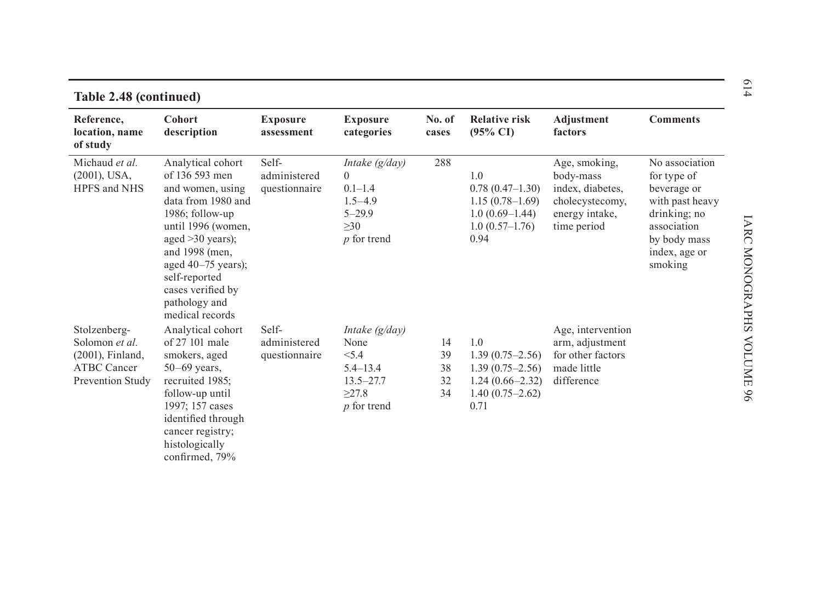| Reference,<br>location, name<br>of study                                                        | <b>Cohort</b><br>description                                                                                                                                                                                                                                        | <b>Exposure</b><br>assessment          | <b>Exposure</b><br>categories                                                                              | No. of<br>cases            | <b>Relative risk</b><br>$(95\% \text{ CI})$                                                           | Adjustment<br>factors                                                                              | <b>Comments</b>                                                                                                                            |
|-------------------------------------------------------------------------------------------------|---------------------------------------------------------------------------------------------------------------------------------------------------------------------------------------------------------------------------------------------------------------------|----------------------------------------|------------------------------------------------------------------------------------------------------------|----------------------------|-------------------------------------------------------------------------------------------------------|----------------------------------------------------------------------------------------------------|--------------------------------------------------------------------------------------------------------------------------------------------|
| Michaud et al.<br>$(2001)$ , USA,<br>HPFS and NHS                                               | Analytical cohort<br>of 136 593 men<br>and women, using<br>data from 1980 and<br>$1986$ ; follow-up<br>until 1996 (women,<br>aged $>30$ years);<br>and 1998 (men.<br>aged $40-75$ years);<br>self-reported<br>cases verified by<br>pathology and<br>medical records | Self-<br>administered<br>questionnaire | Intake (g/day)<br>$\overline{0}$<br>$0.1 - 1.4$<br>$1.5 - 4.9$<br>$5 - 29.9$<br>$\geq 30$<br>$p$ for trend | 288                        | 1.0<br>$0.78(0.47-1.30)$<br>$1.15(0.78 - 1.69)$<br>$1.0(0.69-1.44)$<br>$1.0(0.57-1.76)$<br>0.94       | Age, smoking,<br>body-mass<br>index, diabetes,<br>cholecystecomy,<br>energy intake,<br>time period | No association<br>for type of<br>beverage or<br>with past heavy<br>drinking; no<br>association<br>by body mass<br>index, age or<br>smoking |
| Stolzenberg-<br>Solomon et al.<br>$(2001)$ , Finland,<br><b>ATBC Cancer</b><br>Prevention Study | Analytical cohort<br>of 27 101 male<br>smokers, aged<br>$50-69$ years,<br>recruited 1985;<br>follow-up until<br>1997; 157 cases<br>identified through<br>cancer registry;<br>histologically<br>confirmed, 79%                                                       | Self-<br>administered<br>questionnaire | Intake $(g/day)$<br>None<br>< 5.4<br>$5.4 - 13.4$<br>$13.5 - 27.7$<br>>27.8<br>$p$ for trend               | 14<br>39<br>38<br>32<br>34 | 1.0<br>$1.39(0.75 - 2.56)$<br>$1.39(0.75 - 2.56)$<br>$1.24(0.66 - 2.32)$<br>$1.40(0.75-2.62)$<br>0.71 | Age, intervention<br>arm, adjustment<br>for other factors<br>made little<br>difference             |                                                                                                                                            |

614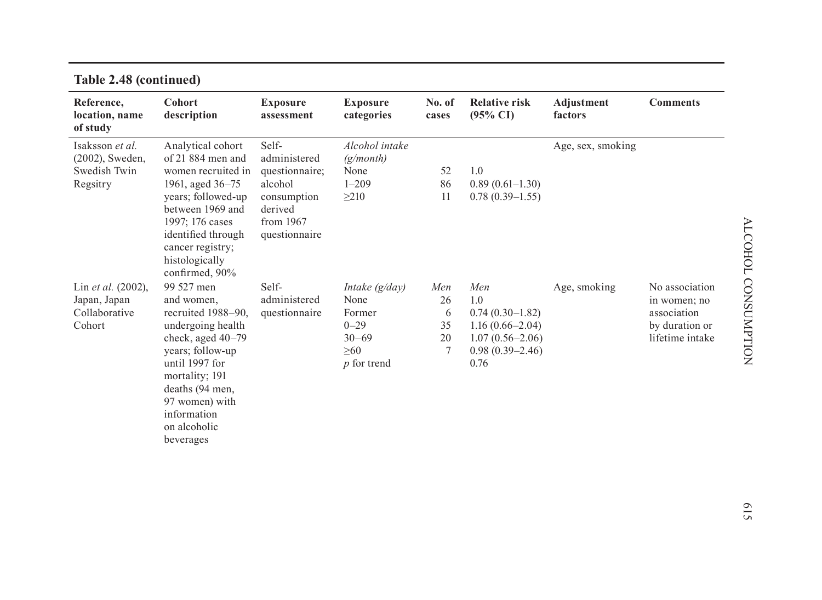| <b>TADIC <math>\angle</math>. 40 (CONTINUED)</b>                  |                                                                                                                                                                                                                                     |                                                                                                            |                                                                                           |                                 |                                                                                                              |                       |                                                                                    |
|-------------------------------------------------------------------|-------------------------------------------------------------------------------------------------------------------------------------------------------------------------------------------------------------------------------------|------------------------------------------------------------------------------------------------------------|-------------------------------------------------------------------------------------------|---------------------------------|--------------------------------------------------------------------------------------------------------------|-----------------------|------------------------------------------------------------------------------------|
| Reference,<br>location, name<br>of study                          | <b>Cohort</b><br>description                                                                                                                                                                                                        | <b>Exposure</b><br>assessment                                                                              | <b>Exposure</b><br>categories                                                             | No. of<br>cases                 | <b>Relative risk</b><br>$(95\% \text{ CI})$                                                                  | Adjustment<br>factors | <b>Comments</b>                                                                    |
| Isaksson et al.<br>$(2002)$ , Sweden,<br>Swedish Twin<br>Regsitry | Analytical cohort<br>of 21 884 men and<br>women recruited in<br>1961, aged 36–75<br>years; followed-up<br>between 1969 and<br>1997; 176 cases<br>identified through<br>cancer registry;<br>histologically<br>confirmed, 90%         | Self-<br>administered<br>questionnaire;<br>alcohol<br>consumption<br>derived<br>from 1967<br>questionnaire | Alcohol intake<br>(g/month)<br>None<br>$1 - 209$<br>$\geq$ 210                            | 52<br>86<br>11                  | 1.0<br>$0.89(0.61 - 1.30)$<br>$0.78(0.39-1.55)$                                                              | Age, sex, smoking     |                                                                                    |
| Lin et al. (2002),<br>Japan, Japan<br>Collaborative<br>Cohort     | 99 527 men<br>and women,<br>recruited 1988–90,<br>undergoing health<br>check, aged $40-79$<br>years; follow-up<br>until 1997 for<br>mortality; 191<br>deaths (94 men,<br>97 women) with<br>information<br>on alcoholic<br>beverages | Self-<br>administered<br>questionnaire                                                                     | Intake $(g/day)$<br>None<br>Former<br>$0 - 29$<br>$30 - 69$<br>$\geq 60$<br>$p$ for trend | Men<br>26<br>6<br>35<br>20<br>7 | Men<br>1.0<br>$0.74(0.30-1.82)$<br>$1.16(0.66 - 2.04)$<br>$1.07(0.56 - 2.06)$<br>$0.98(0.39 - 2.46)$<br>0.76 | Age, smoking          | No association<br>in women; no<br>association<br>by duration or<br>lifetime intake |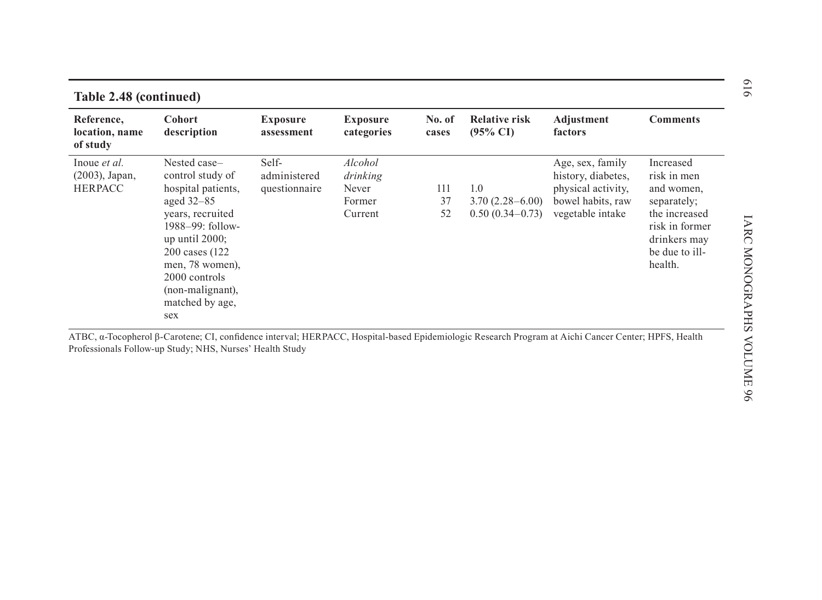| Reference,<br>location, name<br>of study            | <b>Cohort</b><br>description                                                                                                                    | <b>Exposure</b><br>assessment          | <b>Exposure</b><br>categories                     | No. of<br>cases | <b>Relative risk</b><br>$(95\% \text{ CI})$       | Adjustment<br>factors                                                                                 | <b>Comments</b>                                                        |
|-----------------------------------------------------|-------------------------------------------------------------------------------------------------------------------------------------------------|----------------------------------------|---------------------------------------------------|-----------------|---------------------------------------------------|-------------------------------------------------------------------------------------------------------|------------------------------------------------------------------------|
| Inoue et al.<br>$(2003)$ , Japan,<br><b>HERPACC</b> | Nested case-<br>control study of<br>hospital patients,<br>aged $32-85$<br>years, recruited                                                      | Self-<br>administered<br>questionnaire | Alcohol<br>drinking<br>Never<br>Former<br>Current | 111<br>37<br>52 | 1.0<br>$3.70(2.28 - 6.00)$<br>$0.50(0.34 - 0.73)$ | Age, sex, family<br>history, diabetes,<br>physical activity,<br>bowel habits, raw<br>vegetable intake | Increased<br>risk in men<br>and women,<br>separately;<br>the increased |
|                                                     | $1988 - 99$ : follow-<br>up until $2000$ ;<br>200 cases (122)<br>men, 78 women),<br>2000 controls<br>(non-malignant),<br>matched by age,<br>sex |                                        |                                                   |                 |                                                   |                                                                                                       | risk in former<br>drinkers may<br>be due to ill-<br>health.            |

# 616